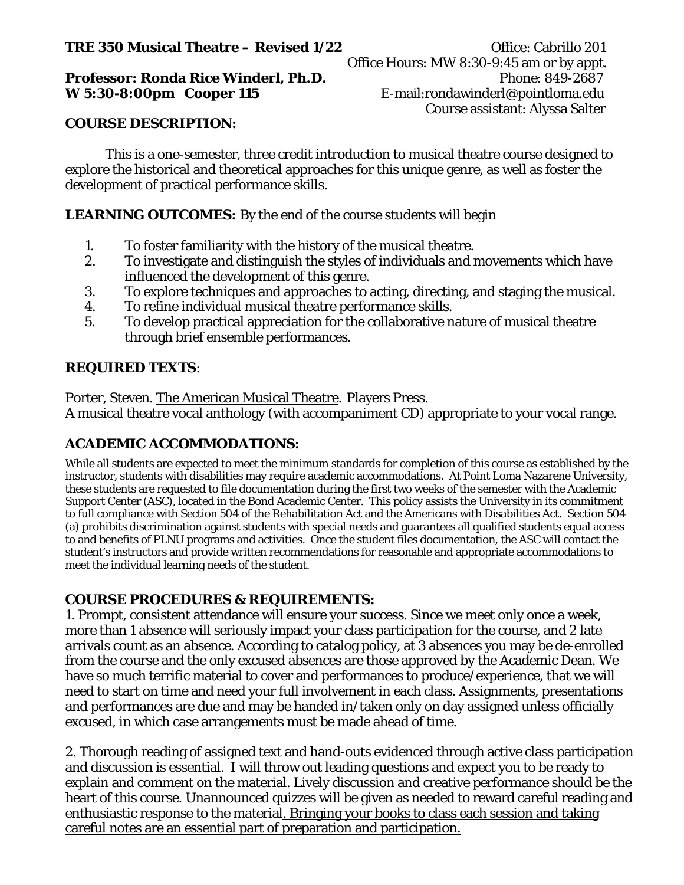# **TRE 350 Musical Theatre – Revised 1/22** Office: Cabrillo 201

## **Professor: Ronda Rice Winderl, Ph.D. Phone: 849-2687 W 5:30-8:00pm Cooper 115** E-mail:rondawinderl@pointloma.edu

## **COURSE DESCRIPTION:**

This is a one-semester, three credit introduction to musical theatre course designed to explore the historical and theoretical approaches for this unique genre, as well as foster the development of practical performance skills.

# **LEARNING OUTCOMES:** By the end of the course students will begin

- 1. To foster familiarity with the history of the musical theatre.
- 2. To investigate and distinguish the styles of individuals and movements which have influenced the development of this genre.
- 3. To explore techniques and approaches to acting, directing, and staging the musical.
- 4. To refine individual musical theatre performance skills.
- 5. To develop practical appreciation for the collaborative nature of musical theatre through brief ensemble performances.

# **REQUIRED TEXTS**:

Porter, Steven. The American Musical Theatre. Players Press. A musical theatre vocal anthology (with accompaniment CD) appropriate to your vocal range.

# **ACADEMIC ACCOMMODATIONS:**

While all students are expected to meet the minimum standards for completion of this course as established by the instructor, students with disabilities may require academic accommodations. At Point Loma Nazarene University, these students are requested to file documentation during the first two weeks of the semester with the Academic Support Center (ASC), located in the Bond Academic Center. This policy assists the University in its commitment to full compliance with Section 504 of the Rehabilitation Act and the Americans with Disabilities Act. Section 504 (a) prohibits discrimination against students with special needs and guarantees all qualified students equal access to and benefits of PLNU programs and activities. Once the student files documentation, the ASC will contact the student's instructors and provide written recommendations for reasonable and appropriate accommodations to meet the individual learning needs of the student.

## **COURSE PROCEDURES & REQUIREMENTS:**

1. Prompt, consistent attendance will ensure your success. Since we meet only once a week, more than 1 absence will seriously impact your class participation for the course, and 2 late arrivals count as an absence. According to catalog policy, at 3 absences you may be de-enrolled from the course and the only excused absences are those approved by the Academic Dean. We have so much terrific material to cover and performances to produce/experience, that we will need to start on time and need your full involvement in each class. Assignments, presentations and performances are due and may be handed in/taken only on day assigned unless officially excused, in which case arrangements must be made ahead of time.

2. Thorough reading of assigned text and hand-outs evidenced through active class participation and discussion is essential. I will throw out leading questions and expect you to be ready to explain and comment on the material. Lively discussion and creative performance should be the heart of this course. Unannounced quizzes will be given as needed to reward careful reading and enthusiastic response to the material. Bringing your books to class each session and taking careful notes are an essential part of preparation and participation.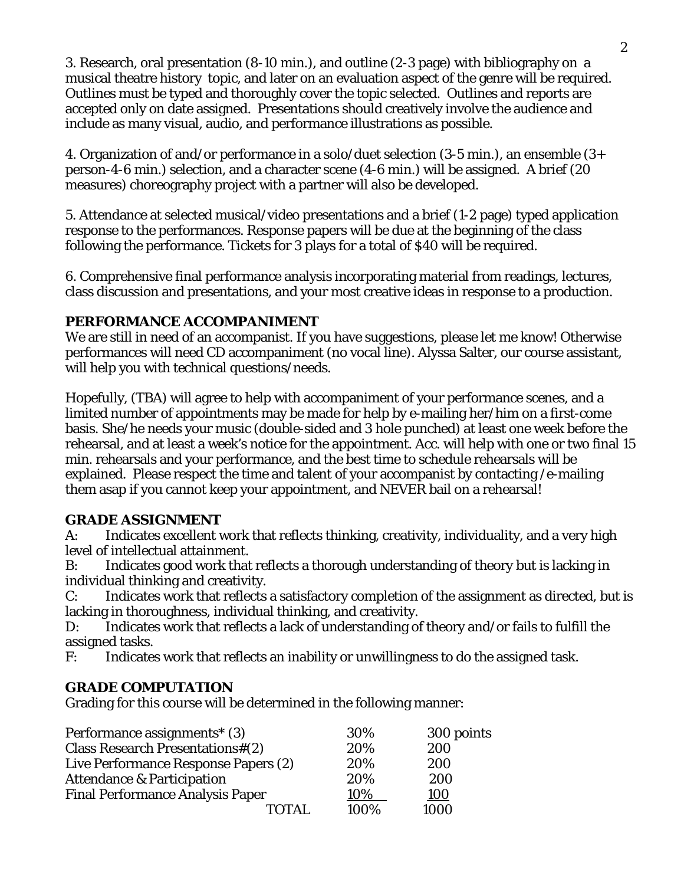3. Research, oral presentation (8-10 min.), and outline (2-3 page) with bibliography on a musical theatre history topic, and later on an evaluation aspect of the genre will be required. Outlines must be typed and thoroughly cover the topic selected. Outlines and reports are accepted only on date assigned. Presentations should creatively involve the audience and include as many visual, audio, and performance illustrations as possible.

4. Organization of and/or performance in a solo/duet selection (3-5 min.), an ensemble (3+ person-4-6 min.) selection, and a character scene (4-6 min.) will be assigned. A brief (20 measures) choreography project with a partner will also be developed.

5. Attendance at selected musical/video presentations and a brief (1-2 page) typed application response to the performances. Response papers will be due at the beginning of the class following the performance. Tickets for 3 plays for a total of \$40 will be required.

6. Comprehensive final performance analysis incorporating material from readings, lectures, class discussion and presentations, and your most creative ideas in response to a production.

# **PERFORMANCE ACCOMPANIMENT**

We are still in need of an accompanist. If you have suggestions, please let me know! Otherwise performances will need CD accompaniment (no vocal line). Alyssa Salter, our course assistant, will help you with technical questions/needs.

Hopefully, (TBA) will agree to help with accompaniment of your performance scenes, and a limited number of appointments may be made for help by e-mailing her/him on a first-come basis. She/he needs your music (double-sided and 3 hole punched) at least one week before the rehearsal, and at least a week's notice for the appointment. Acc. will help with one or two final 15 min. rehearsals and your performance, and the best time to schedule rehearsals will be explained. Please respect the time and talent of your accompanist by contacting /e-mailing them asap if you cannot keep your appointment, and NEVER bail on a rehearsal!

## **GRADE ASSIGNMENT**

A: Indicates excellent work that reflects thinking, creativity, individuality, and a very high level of intellectual attainment.

B: Indicates good work that reflects a thorough understanding of theory but is lacking in individual thinking and creativity.

C: Indicates work that reflects a satisfactory completion of the assignment as directed, but is lacking in thoroughness, individual thinking, and creativity.

D: Indicates work that reflects a lack of understanding of theory and/or fails to fulfill the assigned tasks.

F: Indicates work that reflects an inability or unwillingness to do the assigned task.

# **GRADE COMPUTATION**

Grading for this course will be determined in the following manner:

| Performance assignments <sup>*</sup> (3) | 30%  | 300 points |
|------------------------------------------|------|------------|
| <b>Class Research Presentations#(2)</b>  | 20%  | 200        |
| Live Performance Response Papers (2)     | 20%  | 200        |
| <b>Attendance &amp; Participation</b>    | 20%  | 200        |
| <b>Final Performance Analysis Paper</b>  | 10%  | <u>100</u> |
| ΤΩΤΔΙ                                    | 100% | 1000       |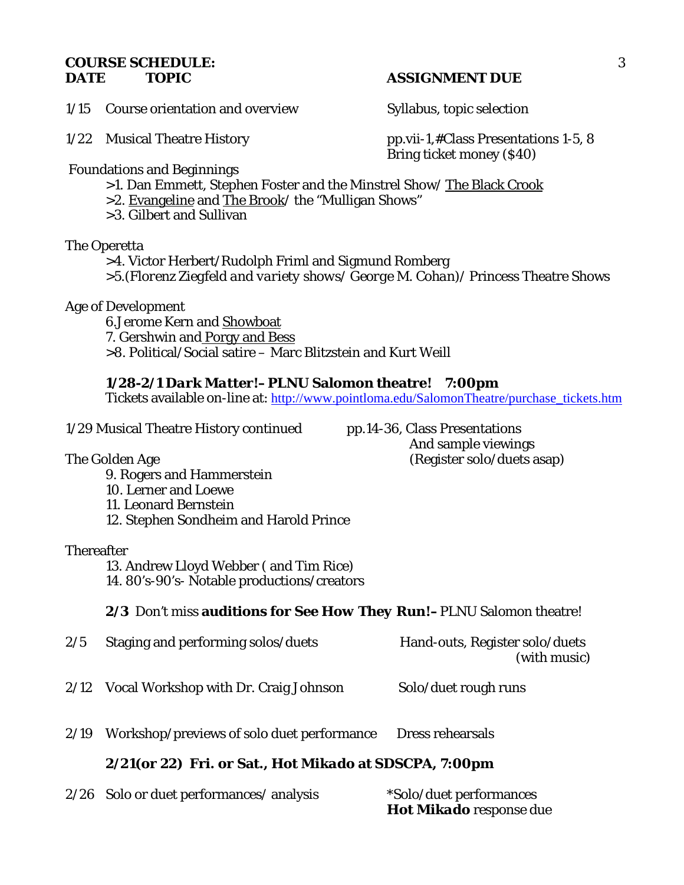#### **COURSE SCHEDULE:** 3 **DATE TOPIC ASSIGNMENT DUE**

1/15 Course orientation and overview Syllabus, topic selection

1/22 Musical Theatre History pp.vii-1,#Class Presentations 1-5, 8 Bring ticket money (\$40)

Foundations and Beginnings

>1. Dan Emmett, Stephen Foster and the Minstrel Show/ The Black Crook

>2. Evangeline and The Brook/ the "Mulligan Shows"

>3. Gilbert and Sullivan

The Operetta

>4. Victor Herbert/Rudolph Friml and Sigmund Romberg >5.(*Florenz Ziegfeld and variety shows/ George M. Cohan)*/ Princess Theatre Shows

Age of Development

6.Jerome Kern and Showboat 7. Gershwin and Porgy and Bess >8. Political/Social satire – Marc Blitzstein and Kurt Weill

# *1/28-2/1 Dark Matter!–***PLNU Salomon theatre! 7:00pm**

Tickets available on-line at: [http://www.pointloma.edu/SalomonTheatre/purchase\\_tickets.htm](http://www.pointloma.edu/SalomonTheatre/purchase_tickets.htm)

1/29 Musical Theatre History continued pp.14-36, Class Presentations

 And sample viewings The Golden Age (Register solo/duets asap)

9. Rogers and Hammerstein 10. Lerner and Loewe 11. Leonard Bernstein 12. Stephen Sondheim and Harold Prince

## **Thereafter**

13. Andrew Lloyd Webber ( and Tim Rice)

14. 80's-90's- Notable productions/creators

*2/3 Don't miss* **auditions for** *See How They Run!–*PLNU Salomon theatre!

- 2/5 Staging and performing solos/duets Hand-outs, Register solo/duets (with music)
- 2/12 Vocal Workshop with Dr. Craig Johnson Solo/duet rough runs
- 2/19 Workshop/previews of solo duet performance Dress rehearsals

# **2/21(or 22) Fri. or Sat.,** *Hot Mikado* **at SDSCPA, 7:00pm**

| 2/26 Solo or duet performances/ analysis | *Solo/duet performances        |
|------------------------------------------|--------------------------------|
|                                          | <b>Hot Mikado</b> response due |